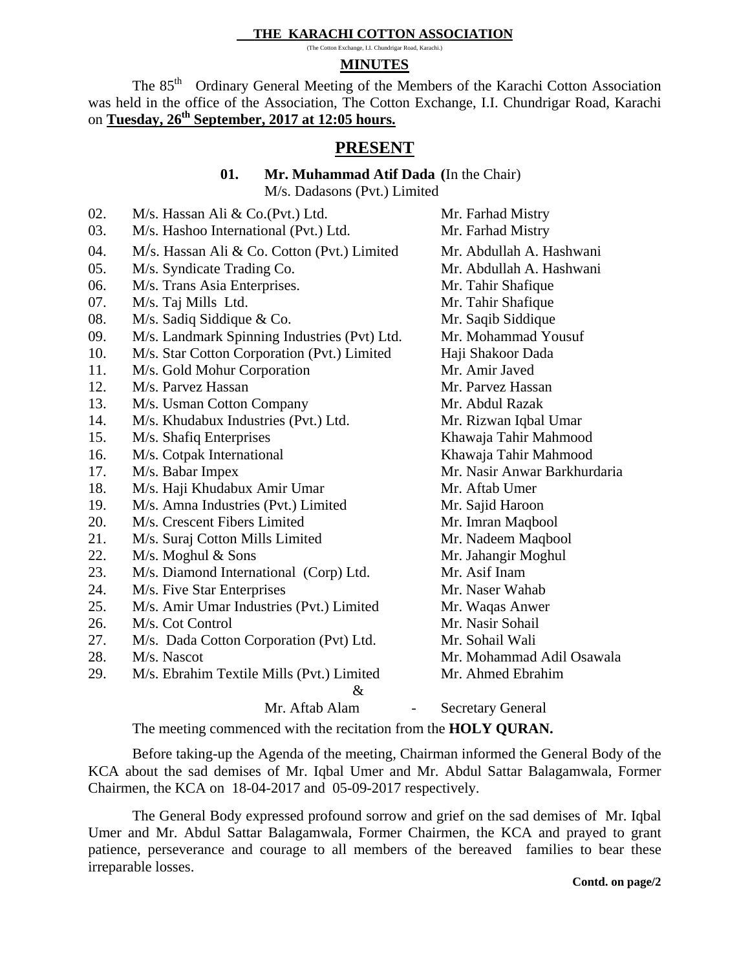## **THE KARACHI COTTON ASSOCIATION**

(The Cotton Exchange, I.I. Chundrigar Road, Karachi.)

# **MINUTES**

The 85<sup>th</sup> Ordinary General Meeting of the Members of the Karachi Cotton Association was held in the office of the Association, The Cotton Exchange, I.I. Chundrigar Road, Karachi on **Tuesday, 26th September, 2017 at 12:05 hours.** 

# **PRESENT**

**01. Mr. Muhammad Atif Dada (**In the Chair)

M/s. Dadasons (Pvt.) Limited

| 02. | M/s. Hassan Ali & Co.(Pvt.) Ltd.             | Mr. Farhad Mistry            |
|-----|----------------------------------------------|------------------------------|
| 03. | M/s. Hashoo International (Pvt.) Ltd.        | Mr. Farhad Mistry            |
| 04. | M/s. Hassan Ali & Co. Cotton (Pvt.) Limited  | Mr. Abdullah A. Hashwani     |
| 05. | M/s. Syndicate Trading Co.                   | Mr. Abdullah A. Hashwani     |
| 06. | M/s. Trans Asia Enterprises.                 | Mr. Tahir Shafique           |
| 07. | M/s. Taj Mills Ltd.                          | Mr. Tahir Shafique           |
| 08. | M/s. Sadiq Siddique & Co.                    | Mr. Saqib Siddique           |
| 09. | M/s. Landmark Spinning Industries (Pvt) Ltd. | Mr. Mohammad Yousuf          |
| 10. | M/s. Star Cotton Corporation (Pvt.) Limited  | Haji Shakoor Dada            |
| 11. | M/s. Gold Mohur Corporation                  | Mr. Amir Javed               |
| 12. | M/s. Parvez Hassan                           | Mr. Parvez Hassan            |
| 13. | M/s. Usman Cotton Company                    | Mr. Abdul Razak              |
| 14. | M/s. Khudabux Industries (Pvt.) Ltd.         | Mr. Rizwan Iqbal Umar        |
| 15. | M/s. Shafiq Enterprises                      | Khawaja Tahir Mahmood        |
| 16. | M/s. Cotpak International                    | Khawaja Tahir Mahmood        |
| 17. | M/s. Babar Impex                             | Mr. Nasir Anwar Barkhurdaria |
| 18. | M/s. Haji Khudabux Amir Umar                 | Mr. Aftab Umer               |
| 19. | M/s. Amna Industries (Pvt.) Limited          | Mr. Sajid Haroon             |
| 20. | M/s. Crescent Fibers Limited                 | Mr. Imran Maqbool            |
| 21. | M/s. Suraj Cotton Mills Limited              | Mr. Nadeem Maqbool           |
| 22. | $M/s$ . Moghul & Sons                        | Mr. Jahangir Moghul          |
| 23. | M/s. Diamond International (Corp) Ltd.       | Mr. Asif Inam                |
| 24. | M/s. Five Star Enterprises                   | Mr. Naser Wahab              |
| 25. | M/s. Amir Umar Industries (Pvt.) Limited     | Mr. Waqas Anwer              |
| 26. | M/s. Cot Control                             | Mr. Nasir Sohail             |
| 27. | M/s. Dada Cotton Corporation (Pvt) Ltd.      | Mr. Sohail Wali              |
| 28. | M/s. Nascot                                  | Mr. Mohammad Adil Osawala    |
| 29. | M/s. Ebrahim Textile Mills (Pvt.) Limited    | Mr. Ahmed Ebrahim            |
|     | $\&$                                         |                              |
|     | Mr. Aftab Alam                               | <b>Secretary General</b>     |

The meeting commenced with the recitation from the **HOLY QURAN.** 

Before taking-up the Agenda of the meeting, Chairman informed the General Body of the KCA about the sad demises of Mr. Iqbal Umer and Mr. Abdul Sattar Balagamwala, Former Chairmen, the KCA on 18-04-2017 and 05-09-2017 respectively.

 The General Body expressed profound sorrow and grief on the sad demises of Mr. Iqbal Umer and Mr. Abdul Sattar Balagamwala, Former Chairmen, the KCA and prayed to grant patience, perseverance and courage to all members of the bereaved families to bear these irreparable losses.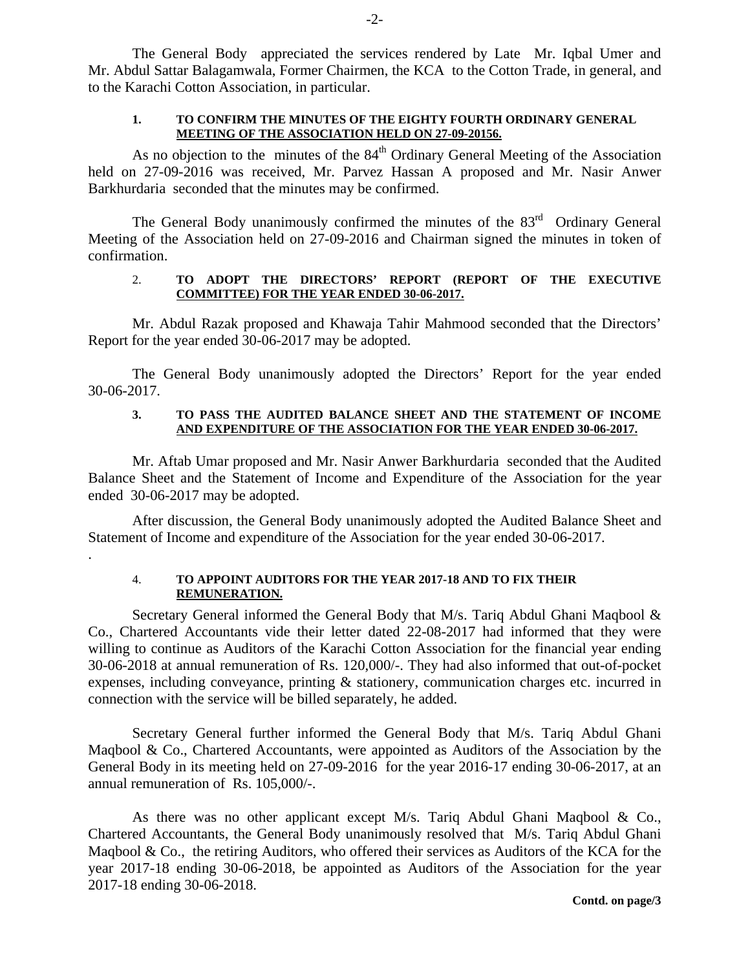The General Body appreciated the services rendered by Late Mr. Iqbal Umer and Mr. Abdul Sattar Balagamwala, Former Chairmen, the KCA to the Cotton Trade, in general, and to the Karachi Cotton Association, in particular.

#### **1. TO CONFIRM THE MINUTES OF THE EIGHTY FOURTH ORDINARY GENERAL MEETING OF THE ASSOCIATION HELD ON 27-09-20156.**

As no objection to the minutes of the  $84<sup>th</sup>$  Ordinary General Meeting of the Association held on 27-09-2016 was received, Mr. Parvez Hassan A proposed and Mr. Nasir Anwer Barkhurdaria seconded that the minutes may be confirmed.

The General Body unanimously confirmed the minutes of the  $83<sup>rd</sup>$  Ordinary General Meeting of the Association held on 27-09-2016 and Chairman signed the minutes in token of confirmation.

## 2. **TO ADOPT THE DIRECTORS' REPORT (REPORT OF THE EXECUTIVE COMMITTEE) FOR THE YEAR ENDED 30-06-2017.**

 Mr. Abdul Razak proposed and Khawaja Tahir Mahmood seconded that the Directors' Report for the year ended 30-06-2017 may be adopted.

 The General Body unanimously adopted the Directors' Report for the year ended 30-06-2017.

#### **3. TO PASS THE AUDITED BALANCE SHEET AND THE STATEMENT OF INCOME AND EXPENDITURE OF THE ASSOCIATION FOR THE YEAR ENDED 30-06-2017.**

Mr. Aftab Umar proposed and Mr. Nasir Anwer Barkhurdaria seconded that the Audited Balance Sheet and the Statement of Income and Expenditure of the Association for the year ended 30-06-2017 may be adopted.

 After discussion, the General Body unanimously adopted the Audited Balance Sheet and Statement of Income and expenditure of the Association for the year ended 30-06-2017.

# 4. **TO APPOINT AUDITORS FOR THE YEAR 2017-18 AND TO FIX THEIR REMUNERATION.**

.

Secretary General informed the General Body that M/s. Tariq Abdul Ghani Maqbool & Co., Chartered Accountants vide their letter dated 22-08-2017 had informed that they were willing to continue as Auditors of the Karachi Cotton Association for the financial year ending 30-06-2018 at annual remuneration of Rs. 120,000/-. They had also informed that out-of-pocket expenses, including conveyance, printing & stationery, communication charges etc. incurred in connection with the service will be billed separately, he added.

Secretary General further informed the General Body that M/s. Tariq Abdul Ghani Maqbool & Co., Chartered Accountants, were appointed as Auditors of the Association by the General Body in its meeting held on 27-09-2016 for the year 2016-17 ending 30-06-2017, at an annual remuneration of Rs. 105,000/-.

As there was no other applicant except M/s. Tariq Abdul Ghani Maqbool & Co., Chartered Accountants, the General Body unanimously resolved that M/s. Tariq Abdul Ghani Maqbool & Co., the retiring Auditors, who offered their services as Auditors of the KCA for the year 2017-18 ending 30-06-2018, be appointed as Auditors of the Association for the year 2017-18 ending 30-06-2018.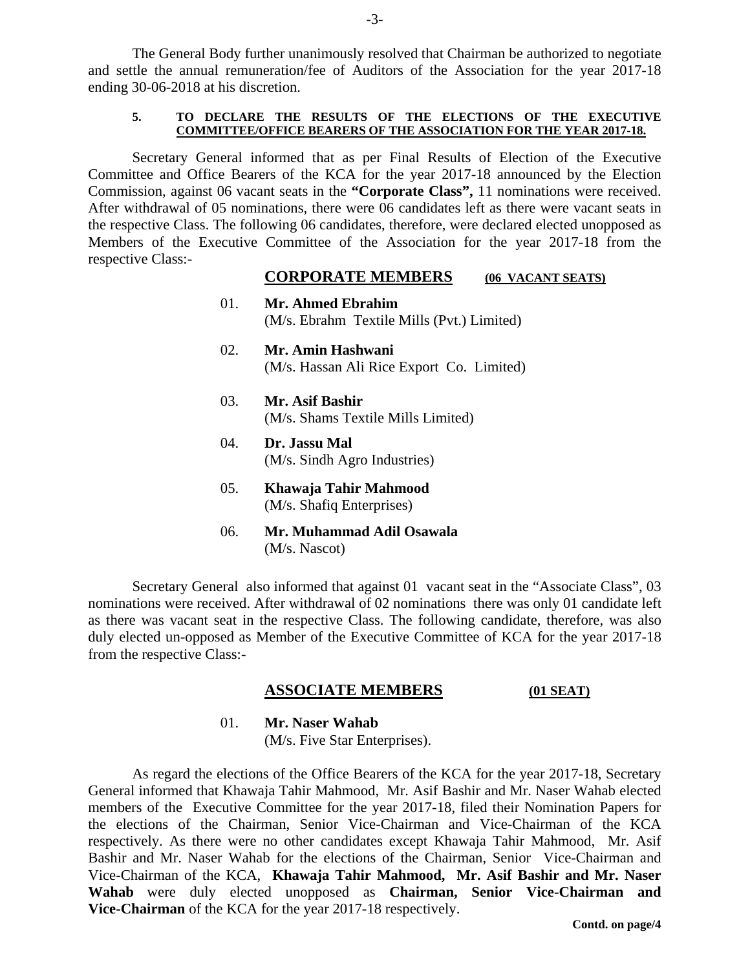The General Body further unanimously resolved that Chairman be authorized to negotiate and settle the annual remuneration/fee of Auditors of the Association for the year 2017-18 ending 30-06-2018 at his discretion.

#### **5. TO DECLARE THE RESULTS OF THE ELECTIONS OF THE EXECUTIVE COMMITTEE/OFFICE BEARERS OF THE ASSOCIATION FOR THE YEAR 2017-18.**

Secretary General informed that as per Final Results of Election of the Executive Committee and Office Bearers of the KCA for the year 2017-18 announced by the Election Commission, against 06 vacant seats in the **"Corporate Class",** 11 nominations were received. After withdrawal of 05 nominations, there were 06 candidates left as there were vacant seats in the respective Class. The following 06 candidates, therefore, were declared elected unopposed as Members of the Executive Committee of the Association for the year 2017-18 from the respective Class:-

# **CORPORATE MEMBERS** (06 VACANT SEATS)<br>01. Mr. Ahmed Ebrahim

- 01. **Mr. Ahmed Ebrahim**  (M/s. Ebrahm Textile Mills (Pvt.) Limited)
- 02. **Mr. Amin Hashwani** (M/s. Hassan Ali Rice Export Co. Limited)
- 03. **Mr. Asif Bashir**  (M/s. Shams Textile Mills Limited)
- 04. **Dr. Jassu Mal**  (M/s. Sindh Agro Industries)
- 05. **Khawaja Tahir Mahmood** (M/s. Shafiq Enterprises)
- 06. **Mr. Muhammad Adil Osawala**  (M/s. Nascot)

Secretary General also informed that against 01 vacant seat in the "Associate Class", 03 nominations were received. After withdrawal of 02 nominations there was only 01 candidate left as there was vacant seat in the respective Class. The following candidate, therefore, was also duly elected un-opposed as Member of the Executive Committee of KCA for the year 2017-18 from the respective Class:-

# **ASSOCIATE MEMBERS (01 SEAT)**

01. **Mr. Naser Wahab** (M/s. Five Star Enterprises).

As regard the elections of the Office Bearers of the KCA for the year 2017-18, Secretary General informed that Khawaja Tahir Mahmood, Mr. Asif Bashir and Mr. Naser Wahab elected members of the Executive Committee for the year 2017-18, filed their Nomination Papers for the elections of the Chairman, Senior Vice-Chairman and Vice-Chairman of the KCA respectively. As there were no other candidates except Khawaja Tahir Mahmood, Mr. Asif Bashir and Mr. Naser Wahab for the elections of the Chairman, Senior Vice-Chairman and Vice-Chairman of the KCA, **Khawaja Tahir Mahmood, Mr. Asif Bashir and Mr. Naser Wahab** were duly elected unopposed as **Chairman, Senior Vice-Chairman and Vice-Chairman** of the KCA for the year 2017-18 respectively.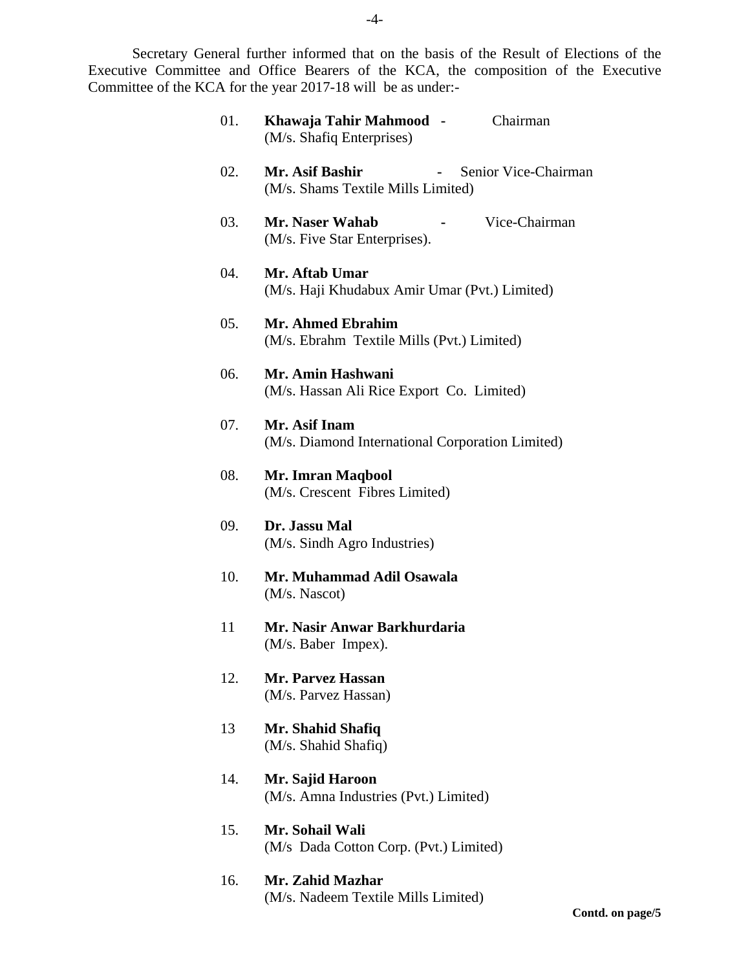Secretary General further informed that on the basis of the Result of Elections of the Executive Committee and Office Bearers of the KCA, the composition of the Executive Committee of the KCA for the year 2017-18 will be as under:-

| 01. | Khawaja Tahir Mahmood -<br>Chairman<br>(M/s. Shafiq Enterprises)              |
|-----|-------------------------------------------------------------------------------|
| 02. | Mr. Asif Bashir<br>Senior Vice-Chairman<br>(M/s. Shams Textile Mills Limited) |
| 03. | Mr. Naser Wahab<br>Vice-Chairman<br>(M/s. Five Star Enterprises).             |
| 04. | Mr. Aftab Umar<br>(M/s. Haji Khudabux Amir Umar (Pvt.) Limited)               |
| 05. | <b>Mr. Ahmed Ebrahim</b><br>(M/s. Ebrahm Textile Mills (Pvt.) Limited)        |
| 06. | Mr. Amin Hashwani<br>(M/s. Hassan Ali Rice Export Co. Limited)                |
| 07. | Mr. Asif Inam<br>(M/s. Diamond International Corporation Limited)             |
| 08. | Mr. Imran Maqbool<br>(M/s. Crescent Fibres Limited)                           |
| 09. | Dr. Jassu Mal<br>(M/s. Sindh Agro Industries)                                 |
| 10. | Mr. Muhammad Adil Osawala<br>(M/s. Nascot)                                    |
| 11  | Mr. Nasir Anwar Barkhurdaria<br>(M/s. Baber Impex).                           |
| 12. | Mr. Parvez Hassan<br>(M/s. Parvez Hassan)                                     |
| 13  | Mr. Shahid Shafiq<br>(M/s. Shahid Shafiq)                                     |
| 14. | Mr. Sajid Haroon<br>(M/s. Amna Industries (Pvt.) Limited)                     |
| 15. | Mr. Sohail Wali<br>(M/s Dada Cotton Corp. (Pvt.) Limited)                     |

16. **Mr. Zahid Mazhar**  (M/s. Nadeem Textile Mills Limited)